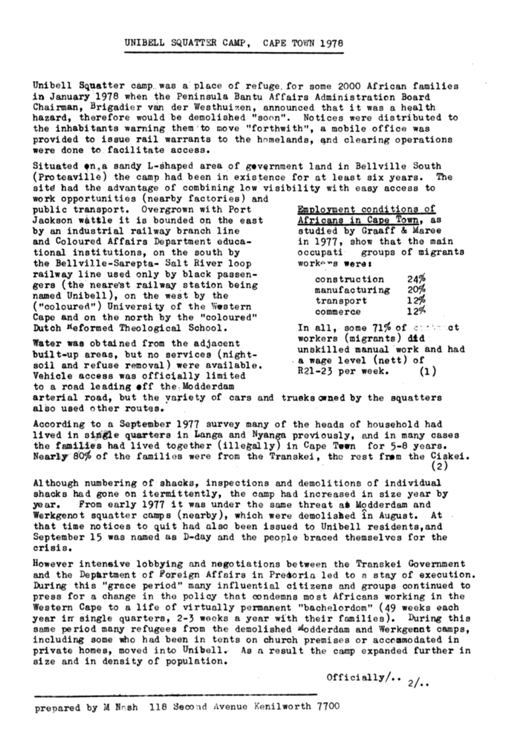## UNIBELL SQUATTER CAMP. CAPE TOWN 1978

Unibell Squatter camp was a place of refuge for some 2000 African families in January 1978 when the Peninsula Bantu Affairs Administration Board Chairman, Brigadier van der Westhuizen, announced that it was a health hazard, therefore would be demolished "soon". Notices were distributed to the inhabitants warning them to move "forthwith", a mobile office was provided to issue rail warrants to the homelands, and clearing operations were done to facilitate access.

Situated on a sandy L-shaped area of government land in Bellville South (Proteaville) the camp had been in existence for at least six years. The site had the advantage of combining low visibility with easy access to work opportunities (nearby factories) and

public transport. Overgrown with Port Jackson wattle it is bounded on the east by an industrial railway branch line and Coloured Affairs Department educational institutions, on the south by the Bellville-Sarepta- Salt River loop railway line used only by black passengers (the nearest railway station being named Unibell), on the west by the ("coloured") University of the Western Cape and on the north by the "coloured" Dutch Meformed Theological School.

Water was obtained from the adjacent built-up areas, but no services (nighta wage level (nett) of soil and refuse removal) were available. R21-23 per week.  $(1)$ Vehicle access was officially limited to a road leading off the Modderdam arterial road, but the variety of cars and trucks onned by the squatters also used other routes.

According to a September 1977 survey many of the heads of household had lived in single quarters in Langa and Nyanga previously, and in many cases the families had lived together (illegally) in Cape Teen for 5-8 years. Nearly 80% of the families were from the Transkei, the rest from the Ciskei.  $(2)$ 

Although numbering of shacks, inspections and demolitions of individual shacks had gone on itermittently, the camp had increased in size year by From early 1977 it was under the same threat as Modderdam and ye ar. Werkgenot squatter camps (nearby), which were demolished in August. At . that time notices to quit had also been issued to Unibell residents, and September 15 was named as D-day and the people braced themselves for the crisis.

However intensive lobbying and negotiations between the Transkei Government and the Department of Foreign Affairs in Precoria led to a stay of execution. During this "grace period" many influential citizens and groups continued to press for a change in the policy that condemns most Africans working in the Western Cape to a life of virtually permanent "bachelordom" (49 weeks each year in single quarters, 2-3 weeks a year with their families). During this same period many refugees from the demolished Modderdam and Werkgenat camps, including some who had been in tents on church premises or accommodated in private homes, moved into Unibell. As a result the camp expanded further in size and in density of population.

Employment conditions of Africans in Cape Town, as studied by Graaff & Maree in 1977, show that the main occupati groups of migrants workers were:

| construction  | 24% |
|---------------|-----|
| manufacturing | 20% |
| transport     | 12% |
| commerce      | 12% |

In all. some  $71\%$  of contract workers (migrants) did unskilled manual work and had

Officially/..  $\frac{2}{10}$ .

prepared by M Nash, 118 Second Avenue Kenilworth 7700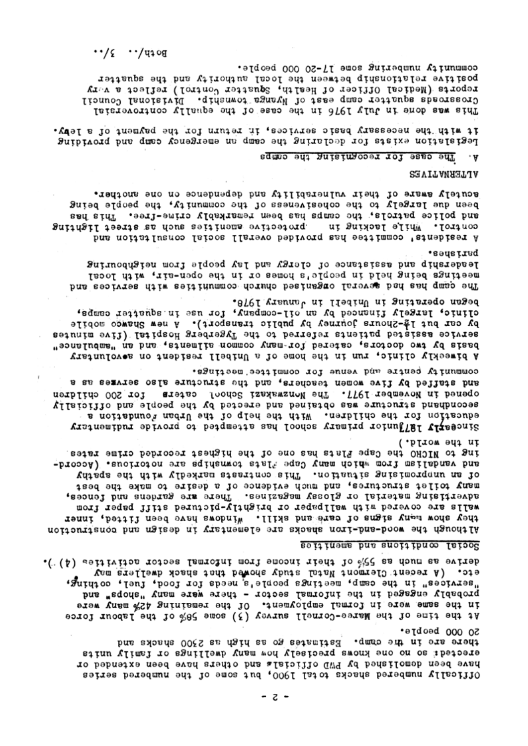.( (A) selfivitos notoss Ismnolni mont emocni niedt lo %22 as doum as evineb etc. (A recent Clermont Natal shudy showed that shack dwellers may "aervices" in the camp, meetings people, si needs for food, fuel, cothing, probably engaged in the informal sector - there were many "shops" and in the same were in formal employment. Of the remaining 42% many were At the time of the Mare-Cornell survey (3) some 58% of the labour force

## seitinems bus sucitibuce Isiood

in the world.) ing to NICRO eape and cape and core of the highest recorded crime rates. and vandalism which wany Cape: 71ats townships are notcrious. (Accord-Vuisqs ent diiw vibelansm staatinoo sinT .nottaulis anisimorquuu ns lo many toilet structures, and much evidence of a desire to make the best advertising material or glossy magazines. There are gardens and fences, weils are covered with wallpaper or prightly-pictured stiff paper from they ahow many stems of care such allik a windows have been fitted, inner Although the wood-and-ion shacks are elementary in design and construction

community centre who renne for committee meetings. and staffed by five women teachers, and the structure also servmes as a tor 200 cpildren aretas foodoc isayawanoWed?. The Nonsayar caters aecondhand structure was obtained and erected by the people and officially education for the children. With the help of the Urban foundation a Tincestly 1871 have but man's solicy has attempted to provide rudimentary

began operating in Unibell in January 1978. efinic, largely financed by an oil-company, for use in squatter camps, pA cer pn: 14-Suches learner of happic fraushorf). When shames mopile seiunim evil) IsiiqsoH gredregyT edi oi berreler sineituq beisissa eoivres basis by two doctors, catered for many common allments, an an imanulance" A pimeekly clinic, run in the home of a Unibell resident on aevoluntary

eedsing. Jesqership and assistance of clergy and lay people from neighbouring meetings being held in people is homes or in the open-air, with local The centrates nitw seitinum operation besings to large bad ead quap ent

acutely aware of their vulnerability and dependence on one another. peen qne jargejy to the cohesiveness of the community, the people being and police patrols, the camps has been remarkably crime-free. This has protective amenties anch as street lighting while lacking in •τοπταο h residents' committed has provided overall social consultation and

**SAVITAMATIJA** 

## The case for recognising the camps . A

it with necessary basic services, it return for the payment of a lept. Pegislarion exists for declaring the camp an emergency camp and providing

community unmering some 11-50 000 beoble. positive relationship between the local authority and the squatter reports (Nedical Officer of Health, Squatter Control) reflect a very Tionuo lanoislvil .qinanwoi agnay lo tase qmso rettaups absorasoro This was done in July 1976 in the case of the equally controversial

 $\cdot \cdot /$ c  $\cdot \cdot /$ uioa

- z -

So 000 beobre. there are in the camp. Estimates go as high as 2500 shacks and erected: so no one knows precisely how many dwellings or family units have been demolished by PWD cilicials and cthers have been extended or  $0.117$  or  $0.17$  and  $0.04$  and  $0.06$  and  $0.06$  and  $0.06$  and  $0.06$  and  $0.06$  and  $0.06$  and  $0.06$  and  $0.06$  and  $0.06$  and  $0.06$  and  $0.06$  and  $0.06$  and  $0.06$  and  $0.06$  and  $0.06$  and  $0.06$  and  $0.06$  and